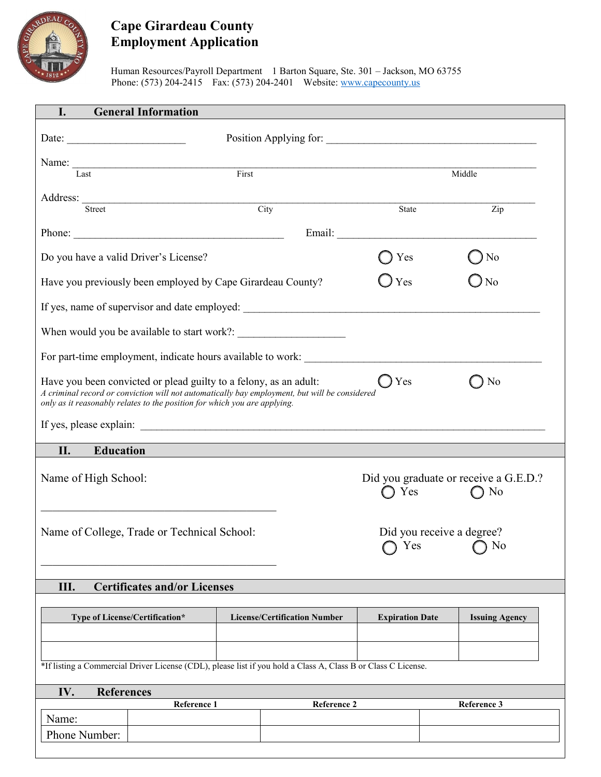

## **Cape Girardeau County Employment Application**

Human Resources/Payroll Department 1 Barton Square, Ste. 301 – Jackson, MO 63755 Phone: (573) 204-2415 Fax: (573) 204-2401 Website: www.capecounty.us

| <b>General Information</b><br>I.                                                                                                                                                                                                                |             |                                     |                                                                                                                                                                                                                                |  |                       |  |  |
|-------------------------------------------------------------------------------------------------------------------------------------------------------------------------------------------------------------------------------------------------|-------------|-------------------------------------|--------------------------------------------------------------------------------------------------------------------------------------------------------------------------------------------------------------------------------|--|-----------------------|--|--|
| Date: $\qquad \qquad$                                                                                                                                                                                                                           |             |                                     |                                                                                                                                                                                                                                |  |                       |  |  |
|                                                                                                                                                                                                                                                 |             |                                     |                                                                                                                                                                                                                                |  |                       |  |  |
| Last                                                                                                                                                                                                                                            |             | First                               |                                                                                                                                                                                                                                |  | Middle                |  |  |
| Address: Street                                                                                                                                                                                                                                 |             | City                                | State                                                                                                                                                                                                                          |  | Zip                   |  |  |
|                                                                                                                                                                                                                                                 |             |                                     |                                                                                                                                                                                                                                |  |                       |  |  |
| Phone:                                                                                                                                                                                                                                          |             |                                     | Email: The contract of the contract of the contract of the contract of the contract of the contract of the contract of the contract of the contract of the contract of the contract of the contract of the contract of the con |  |                       |  |  |
| Do you have a valid Driver's License?                                                                                                                                                                                                           |             |                                     | Yes                                                                                                                                                                                                                            |  | N <sub>o</sub>        |  |  |
| Have you previously been employed by Cape Girardeau County?                                                                                                                                                                                     |             |                                     | Yes                                                                                                                                                                                                                            |  | N <sub>o</sub>        |  |  |
|                                                                                                                                                                                                                                                 |             |                                     |                                                                                                                                                                                                                                |  |                       |  |  |
|                                                                                                                                                                                                                                                 |             |                                     |                                                                                                                                                                                                                                |  |                       |  |  |
|                                                                                                                                                                                                                                                 |             |                                     |                                                                                                                                                                                                                                |  |                       |  |  |
| Have you been convicted or plead guilty to a felony, as an adult:<br>A criminal record or conviction will not automatically bay employment, but will be considered<br>only as it reasonably relates to the position for which you are applying. | Yes         |                                     | N <sub>o</sub>                                                                                                                                                                                                                 |  |                       |  |  |
|                                                                                                                                                                                                                                                 |             |                                     |                                                                                                                                                                                                                                |  |                       |  |  |
| <b>Education</b><br>II.                                                                                                                                                                                                                         |             |                                     |                                                                                                                                                                                                                                |  |                       |  |  |
| Name of High School:                                                                                                                                                                                                                            |             |                                     | Did you graduate or receive a G.E.D.?<br>Yes<br>$\bigcirc$ No                                                                                                                                                                  |  |                       |  |  |
| Name of College, Trade or Technical School:                                                                                                                                                                                                     |             |                                     | Did you receive a degree?<br>Yes<br>N <sub>0</sub>                                                                                                                                                                             |  |                       |  |  |
| <b>Certificates and/or Licenses</b><br>Ш.                                                                                                                                                                                                       |             |                                     |                                                                                                                                                                                                                                |  |                       |  |  |
|                                                                                                                                                                                                                                                 |             |                                     |                                                                                                                                                                                                                                |  |                       |  |  |
| Type of License/Certification*                                                                                                                                                                                                                  |             | <b>License/Certification Number</b> | <b>Expiration Date</b>                                                                                                                                                                                                         |  | <b>Issuing Agency</b> |  |  |
|                                                                                                                                                                                                                                                 |             |                                     |                                                                                                                                                                                                                                |  |                       |  |  |
| *If listing a Commercial Driver License (CDL), please list if you hold a Class A, Class B or Class C License.                                                                                                                                   |             |                                     |                                                                                                                                                                                                                                |  |                       |  |  |
| IV.<br><b>References</b><br>Reference 2                                                                                                                                                                                                         |             |                                     |                                                                                                                                                                                                                                |  |                       |  |  |
| Name:                                                                                                                                                                                                                                           | Reference 1 |                                     |                                                                                                                                                                                                                                |  | Reference 3           |  |  |
| Phone Number:                                                                                                                                                                                                                                   |             |                                     |                                                                                                                                                                                                                                |  |                       |  |  |